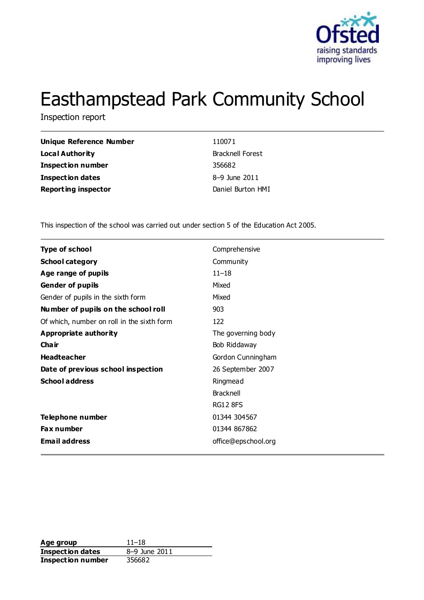

# Easthampstead Park Community School

Inspection report

| Unique Reference Number    | 110071                  |
|----------------------------|-------------------------|
| Local Authority            | <b>Bracknell Forest</b> |
| Inspection number          | 356682                  |
| Inspection dates           | 8-9 June 2011           |
| <b>Reporting inspector</b> | Daniel Burton HMI       |

This inspection of the school was carried out under section 5 of the Education Act 2005.

| <b>Type of school</b>                      | Comprehensive       |
|--------------------------------------------|---------------------|
| <b>School category</b>                     | Community           |
| Age range of pupils                        | $11 - 18$           |
| <b>Gender of pupils</b>                    | Mixed               |
| Gender of pupils in the sixth form         | Mixed               |
| Number of pupils on the school roll        | 903                 |
| Of which, number on roll in the sixth form | 122                 |
| <b>Appropriate authority</b>               | The governing body  |
| Cha ir                                     | Bob Riddaway        |
| <b>Headteacher</b>                         | Gordon Cunningham   |
| Date of previous school inspection         | 26 September 2007   |
| <b>School address</b>                      | Ringmead            |
|                                            | <b>Bracknell</b>    |
|                                            | <b>RG12 8FS</b>     |
| Telephone number                           | 01344 304567        |
| Fax number                                 | 01344 867862        |
| <b>Email address</b>                       | office@epschool.org |

Age group<br> **Inspection dates**  $8-9$  June 2011 **Inspection dates Inspection number** 356682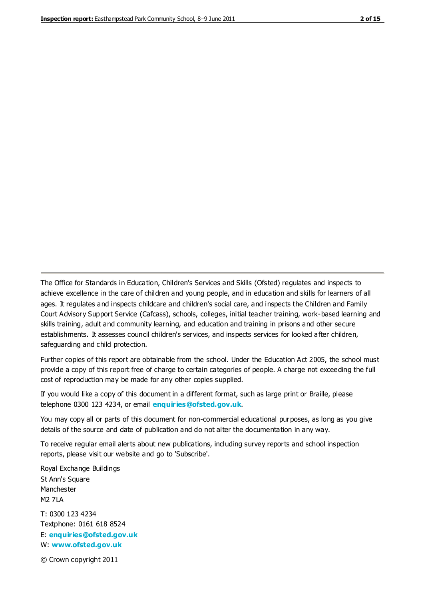The Office for Standards in Education, Children's Services and Skills (Ofsted) regulates and inspects to achieve excellence in the care of children and young people, and in education and skills for learners of all ages. It regulates and inspects childcare and children's social care, and inspects the Children and Family Court Advisory Support Service (Cafcass), schools, colleges, initial teacher training, work-based learning and skills training, adult and community learning, and education and training in prisons and other secure establishments. It assesses council children's services, and inspects services for looked after children, safeguarding and child protection.

Further copies of this report are obtainable from the school. Under the Education Act 2005, the school must provide a copy of this report free of charge to certain categories of people. A charge not exceeding the full cost of reproduction may be made for any other copies supplied.

If you would like a copy of this document in a different format, such as large print or Braille, please telephone 0300 123 4234, or email **[enquiries@ofsted.gov.uk](mailto:enquiries@ofsted.gov.uk)**.

You may copy all or parts of this document for non-commercial educational purposes, as long as you give details of the source and date of publication and do not alter the documentation in any way.

To receive regular email alerts about new publications, including survey reports and school inspection reports, please visit our website and go to 'Subscribe'.

Royal Exchange Buildings St Ann's Square Manchester M2 7LA T: 0300 123 4234 Textphone: 0161 618 8524 E: **[enquiries@ofsted.gov.uk](mailto:enquiries@ofsted.gov.uk)**

W: **[www.ofsted.gov.uk](http://www.ofsted.gov.uk/)**

© Crown copyright 2011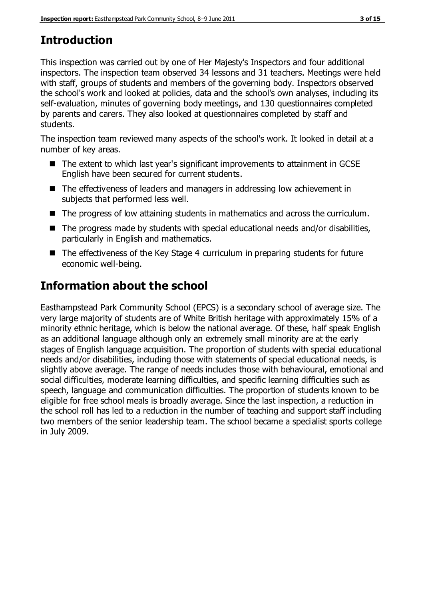# **Introduction**

This inspection was carried out by one of Her Majesty's Inspectors and four additional inspectors. The inspection team observed 34 lessons and 31 teachers. Meetings were held with staff, groups of students and members of the governing body. Inspectors observed the school's work and looked at policies, data and the school's own analyses, including its self-evaluation, minutes of governing body meetings, and 130 questionnaires completed by parents and carers. They also looked at questionnaires completed by staff and students.

The inspection team reviewed many aspects of the school's work. It looked in detail at a number of key areas.

- The extent to which last year's significant improvements to attainment in GCSE English have been secured for current students.
- The effectiveness of leaders and managers in addressing low achievement in subjects that performed less well.
- $\blacksquare$  The progress of low attaining students in mathematics and across the curriculum.
- The progress made by students with special educational needs and/or disabilities, particularly in English and mathematics.
- The effectiveness of the Key Stage 4 curriculum in preparing students for future economic well-being.

# **Information about the school**

Easthampstead Park Community School (EPCS) is a secondary school of average size. The very large majority of students are of White British heritage with approximately 15% of a minority ethnic heritage, which is below the national average. Of these, half speak English as an additional language although only an extremely small minority are at the early stages of English language acquisition. The proportion of students with special educational needs and/or disabilities, including those with statements of special educational needs, is slightly above average. The range of needs includes those with behavioural, emotional and social difficulties, moderate learning difficulties, and specific learning difficulties such as speech, language and communication difficulties. The proportion of students known to be eligible for free school meals is broadly average. Since the last inspection, a reduction in the school roll has led to a reduction in the number of teaching and support staff including two members of the senior leadership team. The school became a specialist sports college in July 2009.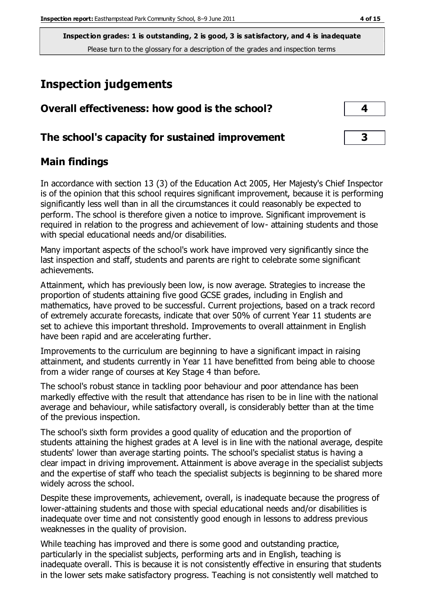# **Inspection judgements**

| Overall effectiveness: how good is the school?  |  |
|-------------------------------------------------|--|
| The school's capacity for sustained improvement |  |

## **Main findings**

In accordance with section 13 (3) of the Education Act 2005, Her Majesty's Chief Inspector is of the opinion that this school requires significant improvement, because it is performing significantly less well than in all the circumstances it could reasonably be expected to perform. The school is therefore given a notice to improve. Significant improvement is required in relation to the progress and achievement of low- attaining students and those with special educational needs and/or disabilities.

Many important aspects of the school's work have improved very significantly since the last inspection and staff, students and parents are right to celebrate some significant achievements.

Attainment, which has previously been low, is now average. Strategies to increase the proportion of students attaining five good GCSE grades, including in English and mathematics, have proved to be successful. Current projections, based on a track record of extremely accurate forecasts, indicate that over 50% of current Year 11 students are set to achieve this important threshold. Improvements to overall attainment in English have been rapid and are accelerating further.

Improvements to the curriculum are beginning to have a significant impact in raising attainment, and students currently in Year 11 have benefitted from being able to choose from a wider range of courses at Key Stage 4 than before.

The school's robust stance in tackling poor behaviour and poor attendance has been markedly effective with the result that attendance has risen to be in line with the national average and behaviour, while satisfactory overall, is considerably better than at the time of the previous inspection.

The school's sixth form provides a good quality of education and the proportion of students attaining the highest grades at A level is in line with the national average, despite students' lower than average starting points. The school's specialist status is having a clear impact in driving improvement. Attainment is above average in the specialist subjects and the expertise of staff who teach the specialist subjects is beginning to be shared more widely across the school.

Despite these improvements, achievement, overall, is inadequate because the progress of lower-attaining students and those with special educational needs and/or disabilities is inadequate over time and not consistently good enough in lessons to address previous weaknesses in the quality of provision.

While teaching has improved and there is some good and outstanding practice, particularly in the specialist subjects, performing arts and in English, teaching is inadequate overall. This is because it is not consistently effective in ensuring that students in the lower sets make satisfactory progress. Teaching is not consistently well matched to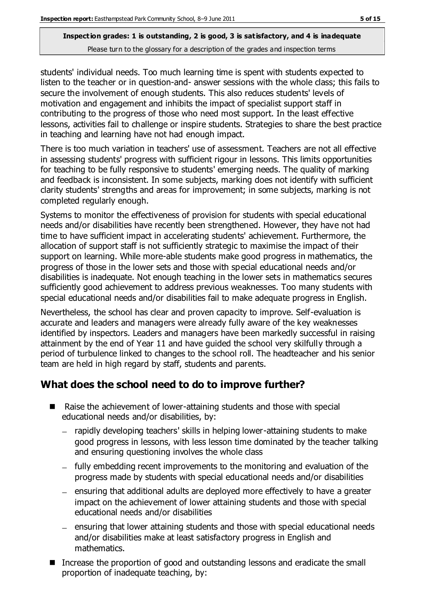students' individual needs. Too much learning time is spent with students expected to listen to the teacher or in question-and- answer sessions with the whole class; this fails to secure the involvement of enough students. This also reduces students' levels of motivation and engagement and inhibits the impact of specialist support staff in contributing to the progress of those who need most support. In the least effective lessons, activities fail to challenge or inspire students. Strategies to share the best practice in teaching and learning have not had enough impact.

There is too much variation in teachers' use of assessment. Teachers are not all effective in assessing students' progress with sufficient rigour in lessons. This limits opportunities for teaching to be fully responsive to students' emerging needs. The quality of marking and feedback is inconsistent. In some subjects, marking does not identify with sufficient clarity students' strengths and areas for improvement; in some subjects, marking is not completed regularly enough.

Systems to monitor the effectiveness of provision for students with special educational needs and/or disabilities have recently been strengthened. However, they have not had time to have sufficient impact in accelerating students' achievement. Furthermore, the allocation of support staff is not sufficiently strategic to maximise the impact of their support on learning. While more-able students make good progress in mathematics, the progress of those in the lower sets and those with special educational needs and/or disabilities is inadequate. Not enough teaching in the lower sets in mathematics secures sufficiently good achievement to address previous weaknesses. Too many students with special educational needs and/or disabilities fail to make adequate progress in English.

Nevertheless, the school has clear and proven capacity to improve. Self-evaluation is accurate and leaders and managers were already fully aware of the key weaknesses identified by inspectors. Leaders and managers have been markedly successful in raising attainment by the end of Year 11 and have guided the school very skilfully through a period of turbulence linked to changes to the school roll. The headteacher and his senior team are held in high regard by staff, students and parents.

## **What does the school need to do to improve further?**

- Raise the achievement of lower-attaining students and those with special educational needs and/or disabilities, by:
	- rapidly developing teachers' skills in helping lower-attaining students to make good progress in lessons, with less lesson time dominated by the teacher talking and ensuring questioning involves the whole class
	- fully embedding recent improvements to the monitoring and evaluation of the progress made by students with special educational needs and/or disabilities
	- $-$  ensuring that additional adults are deployed more effectively to have a greater impact on the achievement of lower attaining students and those with special educational needs and/or disabilities
	- ensuring that lower attaining students and those with special educational needs and/or disabilities make at least satisfactory progress in English and mathematics.
- Increase the proportion of good and outstanding lessons and eradicate the small proportion of inadequate teaching, by: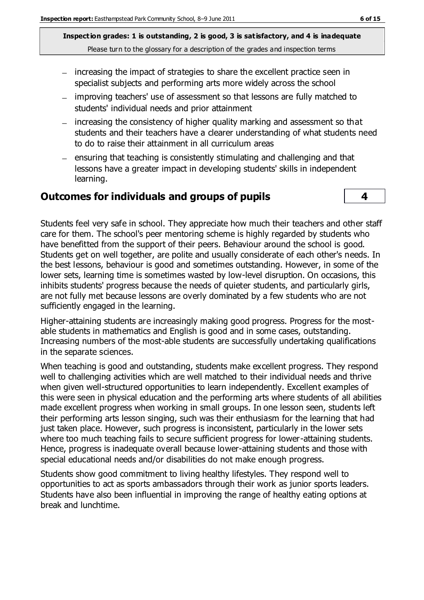- increasing the impact of strategies to share the excellent practice seen in specialist subjects and performing arts more widely across the school
- improving teachers' use of assessment so that lessons are fully matched to students' individual needs and prior attainment
- increasing the consistency of higher quality marking and assessment so that students and their teachers have a clearer understanding of what students need to do to raise their attainment in all curriculum areas
- $-$  ensuring that teaching is consistently stimulating and challenging and that lessons have a greater impact in developing students' skills in independent learning.

#### **Outcomes for individuals and groups of pupils 4**



Students feel very safe in school. They appreciate how much their teachers and other staff care for them. The school's peer mentoring scheme is highly regarded by students who have benefitted from the support of their peers. Behaviour around the school is good. Students get on well together, are polite and usually considerate of each other's needs. In the best lessons, behaviour is good and sometimes outstanding. However, in some of the lower sets, learning time is sometimes wasted by low-level disruption. On occasions, this inhibits students' progress because the needs of quieter students, and particularly girls, are not fully met because lessons are overly dominated by a few students who are not sufficiently engaged in the learning.

Higher-attaining students are increasingly making good progress. Progress for the mostable students in mathematics and English is good and in some cases, outstanding. Increasing numbers of the most-able students are successfully undertaking qualifications in the separate sciences.

When teaching is good and outstanding, students make excellent progress. They respond well to challenging activities which are well matched to their individual needs and thrive when given well-structured opportunities to learn independently. Excellent examples of this were seen in physical education and the performing arts where students of all abilities made excellent progress when working in small groups. In one lesson seen, students left their performing arts lesson singing, such was their enthusiasm for the learning that had just taken place. However, such progress is inconsistent, particularly in the lower sets where too much teaching fails to secure sufficient progress for lower-attaining students. Hence, progress is inadequate overall because lower-attaining students and those with special educational needs and/or disabilities do not make enough progress.

Students show good commitment to living healthy lifestyles. They respond well to opportunities to act as sports ambassadors through their work as junior sports leaders. Students have also been influential in improving the range of healthy eating options at break and lunchtime.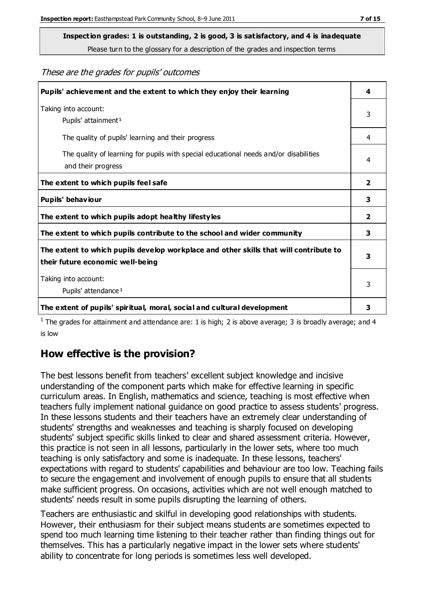**Inspection grades: 1 is outstanding, 2 is good, 3 is satisfactory, and 4 is inadequate**

Please turn to the glossary for a description of the grades and inspection terms

These are the grades for pupils' outcomes

| Pupils' achievement and the extent to which they enjoy their learning                                                     | 4                       |
|---------------------------------------------------------------------------------------------------------------------------|-------------------------|
| Taking into account:<br>Pupils' attainment <sup>1</sup>                                                                   | 3                       |
| The quality of pupils' learning and their progress                                                                        | 4                       |
| The quality of learning for pupils with special educational needs and/or disabilities<br>and their progress               | 4                       |
| The extent to which pupils feel safe                                                                                      | 2                       |
| Pupils' behaviour                                                                                                         | 3                       |
| The extent to which pupils adopt healthy lifestyles                                                                       | $\overline{\mathbf{2}}$ |
| The extent to which pupils contribute to the school and wider community                                                   | 3                       |
| The extent to which pupils develop workplace and other skills that will contribute to<br>their future economic well-being | 3                       |
| Taking into account:<br>Pupils' attendance <sup>1</sup>                                                                   | 3                       |
| The extent of pupils' spiritual, moral, social and cultural development                                                   | 3                       |

<sup>1</sup> The grades for attainment and attendance are: 1 is high; 2 is above average; 3 is broadly average; and 4 is low

## **How effective is the provision?**

The best lessons benefit from teachers' excellent subject knowledge and incisive understanding of the component parts which make for effective learning in specific curriculum areas. In English, mathematics and science, teaching is most effective when teachers fully implement national guidance on good practice to assess students' progress. In these lessons students and their teachers have an extremely clear understanding of students' strengths and weaknesses and teaching is sharply focused on developing students' subject specific skills linked to clear and shared assessment criteria. However, this practice is not seen in all lessons, particularly in the lower sets, where too much teaching is only satisfactory and some is inadequate. In these lessons, teachers' expectations with regard to students' capabilities and behaviour are too low. Teaching fails to secure the engagement and involvement of enough pupils to ensure that all students make sufficient progress. On occasions, activities which are not well enough matched to students' needs result in some pupils disrupting the learning of others.

Teachers are enthusiastic and skilful in developing good relationships with students. However, their enthusiasm for their subject means students are sometimes expected to spend too much learning time listening to their teacher rather than finding things out for themselves. This has a particularly negative impact in the lower sets where students' ability to concentrate for long periods is sometimes less well developed.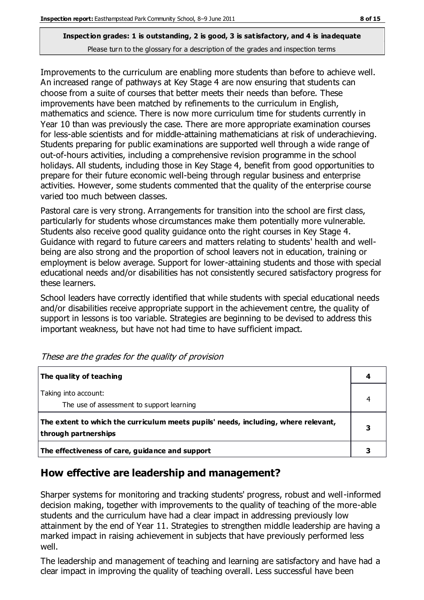Improvements to the curriculum are enabling more students than before to achieve well. An increased range of pathways at Key Stage 4 are now ensuring that students can choose from a suite of courses that better meets their needs than before. These improvements have been matched by refinements to the curriculum in English, mathematics and science. There is now more curriculum time for students currently in Year 10 than was previously the case. There are more appropriate examination courses for less-able scientists and for middle-attaining mathematicians at risk of underachieving. Students preparing for public examinations are supported well through a wide range of out-of-hours activities, including a comprehensive revision programme in the school holidays. All students, including those in Key Stage 4, benefit from good opportunities to prepare for their future economic well-being through regular business and enterprise activities. However, some students commented that the quality of the enterprise course varied too much between classes.

Pastoral care is very strong. Arrangements for transition into the school are first class, particularly for students whose circumstances make them potentially more vulnerable. Students also receive good quality quidance onto the right courses in Key Stage 4. Guidance with regard to future careers and matters relating to students' health and wellbeing are also strong and the proportion of school leavers not in education, training or employment is below average. Support for lower-attaining students and those with special educational needs and/or disabilities has not consistently secured satisfactory progress for these learners.

School leaders have correctly identified that while students with special educational needs and/or disabilities receive appropriate support in the achievement centre, the quality of support in lessons is too variable. Strategies are beginning to be devised to address this important weakness, but have not had time to have sufficient impact.

| The quality of teaching                                                                                    |  |
|------------------------------------------------------------------------------------------------------------|--|
| Taking into account:<br>The use of assessment to support learning                                          |  |
| The extent to which the curriculum meets pupils' needs, including, where relevant,<br>through partnerships |  |
| The effectiveness of care, guidance and support                                                            |  |

These are the grades for the quality of provision

## **How effective are leadership and management?**

Sharper systems for monitoring and tracking students' progress, robust and well-informed decision making, together with improvements to the quality of teaching of the more-able students and the curriculum have had a clear impact in addressing previously low attainment by the end of Year 11. Strategies to strengthen middle leadership are having a marked impact in raising achievement in subjects that have previously performed less well.

The leadership and management of teaching and learning are satisfactory and have had a clear impact in improving the quality of teaching overall. Less successful have been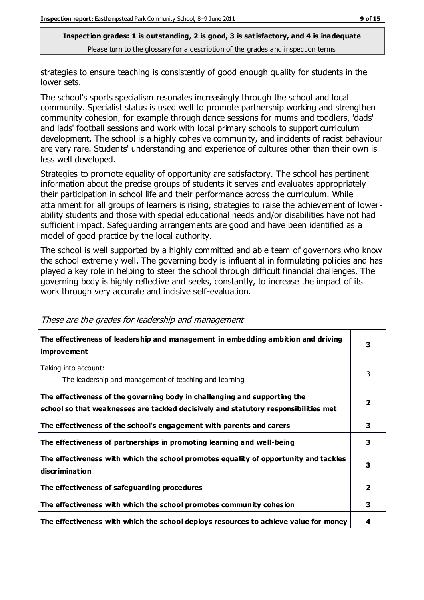strategies to ensure teaching is consistently of good enough quality for students in the lower sets.

The school's sports specialism resonates increasingly through the school and local community. Specialist status is used well to promote partnership working and strengthen community cohesion, for example through dance sessions for mums and toddlers, 'dads' and lads' football sessions and work with local primary schools to support curriculum development. The school is a highly cohesive community, and incidents of racist behaviour are very rare. Students' understanding and experience of cultures other than their own is less well developed.

Strategies to promote equality of opportunity are satisfactory. The school has pertinent information about the precise groups of students it serves and evaluates appropriately their participation in school life and their performance across the curriculum. While attainment for all groups of learners is rising, strategies to raise the achievement of lowerability students and those with special educational needs and/or disabilities have not had sufficient impact. Safeguarding arrangements are good and have been identified as a model of good practice by the local authority.

The school is well supported by a highly committed and able team of governors who know the school extremely well. The governing body is influential in formulating policies and has played a key role in helping to steer the school through difficult financial challenges. The governing body is highly reflective and seeks, constantly, to increase the impact of its work through very accurate and incisive self-evaluation.

| The effectiveness of leadership and management in embedding ambition and driving<br><b>improvement</b>                                                           | 3                       |
|------------------------------------------------------------------------------------------------------------------------------------------------------------------|-------------------------|
| Taking into account:<br>The leadership and management of teaching and learning                                                                                   | 3                       |
| The effectiveness of the governing body in challenging and supporting the<br>school so that weaknesses are tackled decisively and statutory responsibilities met |                         |
| The effectiveness of the school's engagement with parents and carers                                                                                             | 3                       |
| The effectiveness of partnerships in promoting learning and well-being                                                                                           | 3                       |
| The effectiveness with which the school promotes equality of opportunity and tackles<br><b>discrimination</b>                                                    | 3                       |
| The effectiveness of safeguarding procedures                                                                                                                     | $\overline{\mathbf{2}}$ |
| The effectiveness with which the school promotes community cohesion                                                                                              | 3                       |
| The effectiveness with which the school deploys resources to achieve value for money                                                                             | 4                       |

#### These are the grades for leadership and management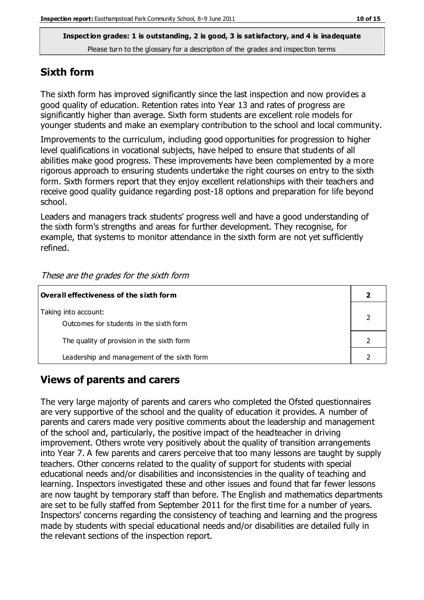#### **Sixth form**

The sixth form has improved significantly since the last inspection and now provides a good quality of education. Retention rates into Year 13 and rates of progress are significantly higher than average. Sixth form students are excellent role models for younger students and make an exemplary contribution to the school and local community.

Improvements to the curriculum, including good opportunities for progression to higher level qualifications in vocational subjects, have helped to ensure that students of all abilities make good progress. These improvements have been complemented by a more rigorous approach to ensuring students undertake the right courses on entry to the sixth form. Sixth formers report that they enjoy excellent relationships with their teachers and receive good quality guidance regarding post-18 options and preparation for life beyond school.

Leaders and managers track students' progress well and have a good understanding of the sixth form's strengths and areas for further development. They recognise, for example, that systems to monitor attendance in the sixth form are not yet sufficiently refined.

| $\mid$ Overall effectiveness of the sixth form                  |  |
|-----------------------------------------------------------------|--|
| Taking into account:<br>Outcomes for students in the sixth form |  |
| The quality of provision in the sixth form                      |  |
| Leadership and management of the sixth form                     |  |

#### These are the grades for the sixth form

#### **Views of parents and carers**

The very large majority of parents and carers who completed the Ofsted questionnaires are very supportive of the school and the quality of education it provides. A number of parents and carers made very positive comments about the leadership and management of the school and, particularly, the positive impact of the headteacher in driving improvement. Others wrote very positively about the quality of transition arrangements into Year 7. A few parents and carers perceive that too many lessons are taught by supply teachers. Other concerns related to the quality of support for students with special educational needs and/or disabilities and inconsistencies in the quality of teaching and learning. Inspectors investigated these and other issues and found that far fewer lessons are now taught by temporary staff than before. The English and mathematics departments are set to be fully staffed from September 2011 for the first time for a number of years. Inspectors' concerns regarding the consistency of teaching and learning and the progress made by students with special educational needs and/or disabilities are detailed fully in the relevant sections of the inspection report.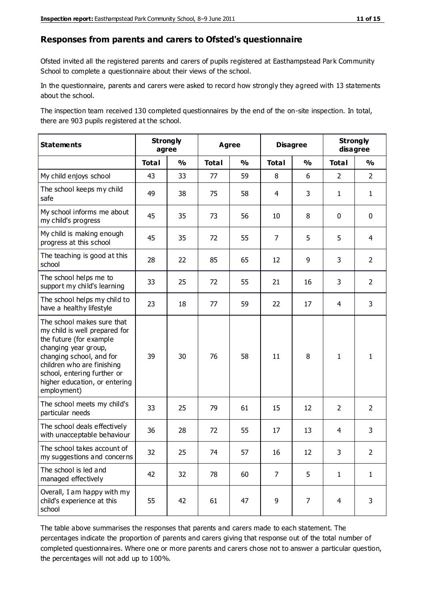#### **Responses from parents and carers to Ofsted's questionnaire**

Ofsted invited all the registered parents and carers of pupils registered at Easthampstead Park Community School to complete a questionnaire about their views of the school.

In the questionnaire, parents and carers were asked to record how strongly they agreed with 13 statements about the school.

The inspection team received 130 completed questionnaires by the end of the on-site inspection. In total, there are 903 pupils registered at the school.

| <b>Statements</b>                                                                                                                                                                                                                                       | <b>Strongly</b><br><b>Agree</b><br>agree |               |              | <b>Disagree</b> |                | <b>Strongly</b><br>disagree |                |                |
|---------------------------------------------------------------------------------------------------------------------------------------------------------------------------------------------------------------------------------------------------------|------------------------------------------|---------------|--------------|-----------------|----------------|-----------------------------|----------------|----------------|
|                                                                                                                                                                                                                                                         | <b>Total</b>                             | $\frac{1}{2}$ | <b>Total</b> | $\frac{1}{2}$   | <b>Total</b>   | $\frac{1}{2}$               | <b>Total</b>   | $\frac{1}{2}$  |
| My child enjoys school                                                                                                                                                                                                                                  | 43                                       | 33            | 77           | 59              | 8              | 6                           | $\overline{2}$ | $\overline{2}$ |
| The school keeps my child<br>safe                                                                                                                                                                                                                       | 49                                       | 38            | 75           | 58              | 4              | 3                           | $\mathbf{1}$   | $\mathbf{1}$   |
| My school informs me about<br>my child's progress                                                                                                                                                                                                       | 45                                       | 35            | 73           | 56              | 10             | 8                           | $\mathbf 0$    | $\mathbf 0$    |
| My child is making enough<br>progress at this school                                                                                                                                                                                                    | 45                                       | 35            | 72           | 55              | $\overline{7}$ | 5                           | 5              | $\overline{4}$ |
| The teaching is good at this<br>school                                                                                                                                                                                                                  | 28                                       | 22            | 85           | 65              | 12             | 9                           | 3              | $\overline{2}$ |
| The school helps me to<br>support my child's learning                                                                                                                                                                                                   | 33                                       | 25            | 72           | 55              | 21             | 16                          | 3              | $\overline{2}$ |
| The school helps my child to<br>have a healthy lifestyle                                                                                                                                                                                                | 23                                       | 18            | 77           | 59              | 22             | 17                          | 4              | 3              |
| The school makes sure that<br>my child is well prepared for<br>the future (for example<br>changing year group,<br>changing school, and for<br>children who are finishing<br>school, entering further or<br>higher education, or entering<br>employment) | 39                                       | 30            | 76           | 58              | 11             | 8                           | $\mathbf{1}$   | 1              |
| The school meets my child's<br>particular needs                                                                                                                                                                                                         | 33                                       | 25            | 79           | 61              | 15             | 12                          | $\overline{2}$ | $\overline{2}$ |
| The school deals effectively<br>with unacceptable behaviour                                                                                                                                                                                             | 36                                       | 28            | 72           | 55              | 17             | 13                          | 4              | 3              |
| The school takes account of<br>my suggestions and concerns                                                                                                                                                                                              | 32                                       | 25            | 74           | 57              | 16             | 12                          | 3              | $\mathcal{P}$  |
| The school is led and<br>managed effectively                                                                                                                                                                                                            | 42                                       | 32            | 78           | 60              | $\overline{7}$ | 5                           | $\mathbf{1}$   | $\mathbf{1}$   |
| Overall, I am happy with my<br>child's experience at this<br>school                                                                                                                                                                                     | 55                                       | 42            | 61           | 47              | 9              | $\overline{7}$              | $\overline{4}$ | 3              |

The table above summarises the responses that parents and carers made to each statement. The percentages indicate the proportion of parents and carers giving that response out of the total number of completed questionnaires. Where one or more parents and carers chose not to answer a particular question, the percentages will not add up to 100%.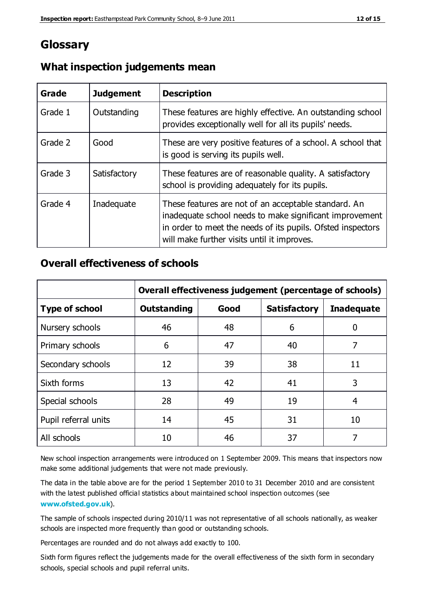## **Glossary**

| Grade   | <b>Judgement</b> | <b>Description</b>                                                                                                                                                                                                            |
|---------|------------------|-------------------------------------------------------------------------------------------------------------------------------------------------------------------------------------------------------------------------------|
| Grade 1 | Outstanding      | These features are highly effective. An outstanding school<br>provides exceptionally well for all its pupils' needs.                                                                                                          |
| Grade 2 | Good             | These are very positive features of a school. A school that<br>is good is serving its pupils well.                                                                                                                            |
| Grade 3 | Satisfactory     | These features are of reasonable quality. A satisfactory<br>school is providing adequately for its pupils.                                                                                                                    |
| Grade 4 | Inadequate       | These features are not of an acceptable standard. An<br>inadequate school needs to make significant improvement<br>in order to meet the needs of its pupils. Ofsted inspectors<br>will make further visits until it improves. |

## **What inspection judgements mean**

## **Overall effectiveness of schools**

|                       | Overall effectiveness judgement (percentage of schools) |      |                     |                   |
|-----------------------|---------------------------------------------------------|------|---------------------|-------------------|
| <b>Type of school</b> | <b>Outstanding</b>                                      | Good | <b>Satisfactory</b> | <b>Inadequate</b> |
| Nursery schools       | 46                                                      | 48   | 6                   |                   |
| Primary schools       | 6                                                       | 47   | 40                  | 7                 |
| Secondary schools     | 12                                                      | 39   | 38                  | 11                |
| Sixth forms           | 13                                                      | 42   | 41                  | 3                 |
| Special schools       | 28                                                      | 49   | 19                  | 4                 |
| Pupil referral units  | 14                                                      | 45   | 31                  | 10                |
| All schools           | 10                                                      | 46   | 37                  |                   |

New school inspection arrangements were introduced on 1 September 2009. This means that inspectors now make some additional judgements that were not made previously.

The data in the table above are for the period 1 September 2010 to 31 December 2010 and are consistent with the latest published official statistics about maintained school inspection outcomes (see **[www.ofsted.gov.uk](http://www.ofsted.gov.uk/)**).

The sample of schools inspected during 2010/11 was not representative of all schools nationally, as weaker schools are inspected more frequently than good or outstanding schools.

Percentages are rounded and do not always add exactly to 100.

Sixth form figures reflect the judgements made for the overall effectiveness of the sixth form in secondary schools, special schools and pupil referral units.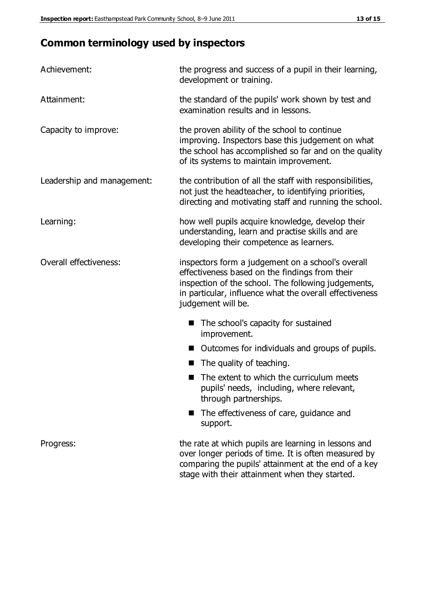# **Common terminology used by inspectors**

| Achievement:                  | the progress and success of a pupil in their learning,<br>development or training.                                                                                                                                                          |  |
|-------------------------------|---------------------------------------------------------------------------------------------------------------------------------------------------------------------------------------------------------------------------------------------|--|
| Attainment:                   | the standard of the pupils' work shown by test and<br>examination results and in lessons.                                                                                                                                                   |  |
| Capacity to improve:          | the proven ability of the school to continue<br>improving. Inspectors base this judgement on what<br>the school has accomplished so far and on the quality<br>of its systems to maintain improvement.                                       |  |
| Leadership and management:    | the contribution of all the staff with responsibilities,<br>not just the headteacher, to identifying priorities,<br>directing and motivating staff and running the school.                                                                  |  |
| Learning:                     | how well pupils acquire knowledge, develop their<br>understanding, learn and practise skills and are<br>developing their competence as learners.                                                                                            |  |
| <b>Overall effectiveness:</b> | inspectors form a judgement on a school's overall<br>effectiveness based on the findings from their<br>inspection of the school. The following judgements,<br>in particular, influence what the overall effectiveness<br>judgement will be. |  |
|                               | The school's capacity for sustained<br>improvement.                                                                                                                                                                                         |  |
|                               | Outcomes for individuals and groups of pupils.                                                                                                                                                                                              |  |
|                               | The quality of teaching.                                                                                                                                                                                                                    |  |
|                               | The extent to which the curriculum meets<br>pupils' needs, including, where relevant,<br>through partnerships.                                                                                                                              |  |
|                               | The effectiveness of care, guidance and<br>support.                                                                                                                                                                                         |  |
| Progress:                     | the rate at which pupils are learning in lessons and<br>over longer periods of time. It is often measured by<br>comparing the pupils' attainment at the end of a key                                                                        |  |

stage with their attainment when they started.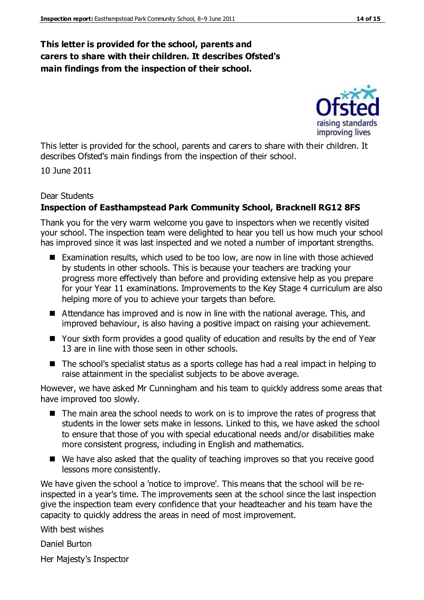#### **This letter is provided for the school, parents and carers to share with their children. It describes Ofsted's main findings from the inspection of their school.**

raising standards improving lives

This letter is provided for the school, parents and carers to share with their children. It describes Ofsted's main findings from the inspection of their school.

10 June 2011

#### Dear Students

#### **Inspection of Easthampstead Park Community School, Bracknell RG12 8FS**

Thank you for the very warm welcome you gave to inspectors when we recently visited your school. The inspection team were delighted to hear you tell us how much your school has improved since it was last inspected and we noted a number of important strengths.

- Examination results, which used to be too low, are now in line with those achieved by students in other schools. This is because your teachers are tracking your progress more effectively than before and providing extensive help as you prepare for your Year 11 examinations. Improvements to the Key Stage 4 curriculum are also helping more of you to achieve your targets than before.
- Attendance has improved and is now in line with the national average. This, and improved behaviour, is also having a positive impact on raising your achievement.
- Your sixth form provides a good quality of education and results by the end of Year 13 are in line with those seen in other schools.
- The school's specialist status as a sports college has had a real impact in helping to raise attainment in the specialist subjects to be above average.

However, we have asked Mr Cunningham and his team to quickly address some areas that have improved too slowly.

- $\blacksquare$  The main area the school needs to work on is to improve the rates of progress that students in the lower sets make in lessons. Linked to this, we have asked the school to ensure that those of you with special educational needs and/or disabilities make more consistent progress, including in English and mathematics.
- We have also asked that the quality of teaching improves so that you receive good lessons more consistently.

We have given the school a 'notice to improve'. This means that the school will be reinspected in a year's time. The improvements seen at the school since the last inspection give the inspection team every confidence that your headteacher and his team have the capacity to quickly address the areas in need of most improvement.

With best wishes

Daniel Burton

Her Majesty's Inspector